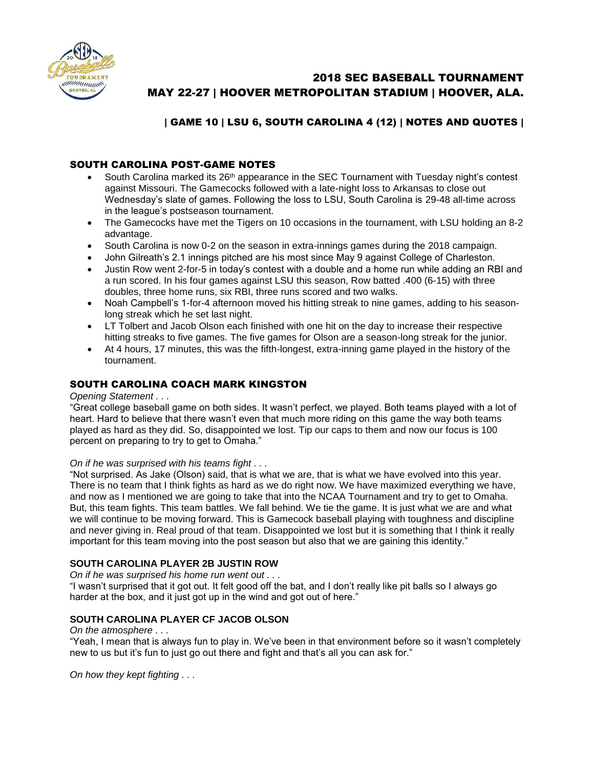

# 2018 SEC BASEBALL TOURNAMENT MAY 22-27 | HOOVER METROPOLITAN STADIUM | HOOVER, ALA.

# | GAME 10 | LSU 6, SOUTH CAROLINA 4 (12) | NOTES AND QUOTES |

# SOUTH CAROLINA POST-GAME NOTES

- South Carolina marked its  $26<sup>th</sup>$  appearance in the SEC Tournament with Tuesday night's contest against Missouri. The Gamecocks followed with a late-night loss to Arkansas to close out Wednesday's slate of games. Following the loss to LSU, South Carolina is 29-48 all-time across in the league's postseason tournament.
- The Gamecocks have met the Tigers on 10 occasions in the tournament, with LSU holding an 8-2 advantage.
- South Carolina is now 0-2 on the season in extra-innings games during the 2018 campaign.
- John Gilreath's 2.1 innings pitched are his most since May 9 against College of Charleston.
- Justin Row went 2-for-5 in today's contest with a double and a home run while adding an RBI and a run scored. In his four games against LSU this season, Row batted .400 (6-15) with three doubles, three home runs, six RBI, three runs scored and two walks.
- Noah Campbell's 1-for-4 afternoon moved his hitting streak to nine games, adding to his seasonlong streak which he set last night.
- LT Tolbert and Jacob Olson each finished with one hit on the day to increase their respective hitting streaks to five games. The five games for Olson are a season-long streak for the junior.
- At 4 hours, 17 minutes, this was the fifth-longest, extra-inning game played in the history of the tournament.

# SOUTH CAROLINA COACH MARK KINGSTON

#### *Opening Statement . . .*

"Great college baseball game on both sides. It wasn't perfect, we played. Both teams played with a lot of heart. Hard to believe that there wasn't even that much more riding on this game the way both teams played as hard as they did. So, disappointed we lost. Tip our caps to them and now our focus is 100 percent on preparing to try to get to Omaha."

#### *On if he was surprised with his teams fight . . .*

"Not surprised. As Jake (Olson) said, that is what we are, that is what we have evolved into this year. There is no team that I think fights as hard as we do right now. We have maximized everything we have, and now as I mentioned we are going to take that into the NCAA Tournament and try to get to Omaha. But, this team fights. This team battles. We fall behind. We tie the game. It is just what we are and what we will continue to be moving forward. This is Gamecock baseball playing with toughness and discipline and never giving in. Real proud of that team. Disappointed we lost but it is something that I think it really important for this team moving into the post season but also that we are gaining this identity."

## **SOUTH CAROLINA PLAYER 2B JUSTIN ROW**

*On if he was surprised his home run went out . . .*

"I wasn't surprised that it got out. It felt good off the bat, and I don't really like pit balls so I always go harder at the box, and it just got up in the wind and got out of here."

## **SOUTH CAROLINA PLAYER CF JACOB OLSON**

#### *On the atmosphere . . .*

"Yeah, I mean that is always fun to play in. We've been in that environment before so it wasn't completely new to us but it's fun to just go out there and fight and that's all you can ask for."

*On how they kept fighting . . .*